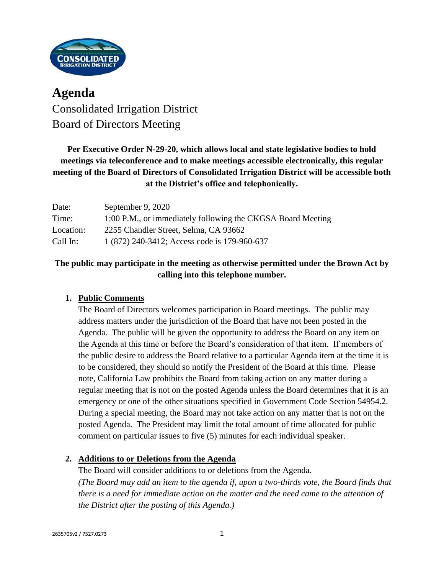

# **Agenda** Consolidated Irrigation District Board of Directors Meeting

## **Per Executive Order N-29-20, which allows local and state legislative bodies to hold meetings via teleconference and to make meetings accessible electronically, this regular meeting of the Board of Directors of Consolidated Irrigation District will be accessible both at the District's office and telephonically.**

| Date:     | September 9, 2020                                           |
|-----------|-------------------------------------------------------------|
| Time:     | 1:00 P.M., or immediately following the CKGSA Board Meeting |
| Location: | 2255 Chandler Street, Selma, CA 93662                       |
| Call In:  | 1 (872) 240-3412; Access code is 179-960-637                |

## **The public may participate in the meeting as otherwise permitted under the Brown Act by calling into this telephone number.**

## **1. Public Comments**

The Board of Directors welcomes participation in Board meetings. The public may address matters under the jurisdiction of the Board that have not been posted in the Agenda. The public will be given the opportunity to address the Board on any item on the Agenda at this time or before the Board's consideration of that item. If members of the public desire to address the Board relative to a particular Agenda item at the time it is to be considered, they should so notify the President of the Board at this time. Please note, California Law prohibits the Board from taking action on any matter during a regular meeting that is not on the posted Agenda unless the Board determines that it is an emergency or one of the other situations specified in Government Code Section 54954.2. During a special meeting, the Board may not take action on any matter that is not on the posted Agenda. The President may limit the total amount of time allocated for public comment on particular issues to five (5) minutes for each individual speaker.

### **2. Additions to or Deletions from the Agenda**

The Board will consider additions to or deletions from the Agenda. *(The Board may add an item to the agenda if, upon a two-thirds vote, the Board finds that there is a need for immediate action on the matter and the need came to the attention of the District after the posting of this Agenda.)*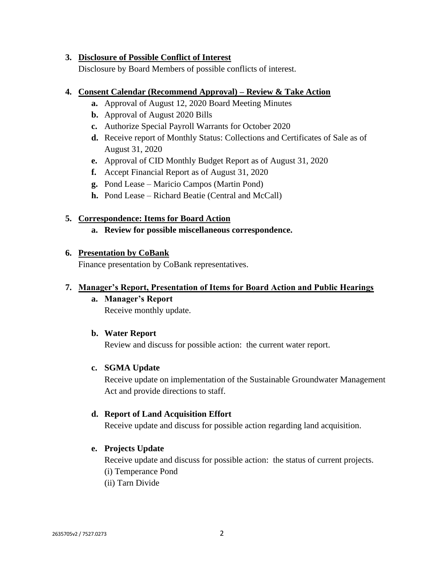#### **3. Disclosure of Possible Conflict of Interest**

Disclosure by Board Members of possible conflicts of interest.

#### **4. Consent Calendar (Recommend Approval) – Review & Take Action**

- **a.** Approval of August 12, 2020 Board Meeting Minutes
- **b.** Approval of August 2020 Bills
- **c.** Authorize Special Payroll Warrants for October 2020
- **d.** Receive report of Monthly Status: Collections and Certificates of Sale as of August 31, 2020
- **e.** Approval of CID Monthly Budget Report as of August 31, 2020
- **f.** Accept Financial Report as of August 31, 2020
- **g.** Pond Lease Maricio Campos (Martin Pond)
- **h.** Pond Lease Richard Beatie (Central and McCall)

### **5. Correspondence: Items for Board Action**

**a. Review for possible miscellaneous correspondence.** 

#### **6. Presentation by CoBank**

Finance presentation by CoBank representatives.

#### **7. Manager's Report, Presentation of Items for Board Action and Public Hearings**

**a. Manager's Report** Receive monthly update.

### **b. Water Report**

Review and discuss for possible action: the current water report.

### **c. SGMA Update**

Receive update on implementation of the Sustainable Groundwater Management Act and provide directions to staff.

### **d. Report of Land Acquisition Effort**

Receive update and discuss for possible action regarding land acquisition.

### **e. Projects Update**

Receive update and discuss for possible action: the status of current projects.

- (i) Temperance Pond
- (ii) Tarn Divide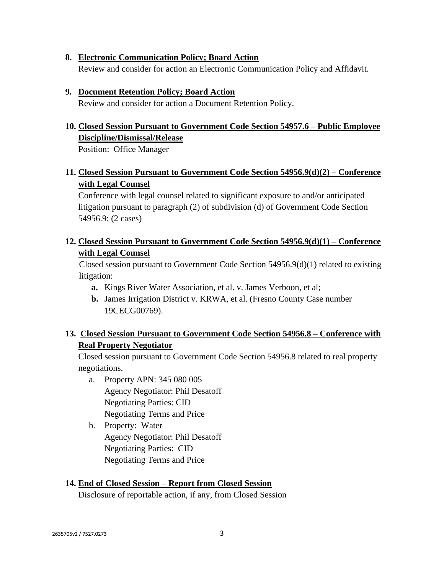#### **8. Electronic Communication Policy; Board Action**

Review and consider for action an Electronic Communication Policy and Affidavit.

#### **9. Document Retention Policy; Board Action**

Review and consider for action a Document Retention Policy.

## **10. Closed Session Pursuant to Government Code Section 54957.6 – Public Employee Discipline/Dismissal/Release**

Position: Office Manager

## **11. Closed Session Pursuant to Government Code Section 54956.9(d)(2) – Conference with Legal Counsel**

Conference with legal counsel related to significant exposure to and/or anticipated litigation pursuant to paragraph (2) of subdivision (d) of Government Code Section 54956.9: (2 cases)

## **12. Closed Session Pursuant to Government Code Section 54956.9(d)(1) – Conference with Legal Counsel**

Closed session pursuant to Government Code Section 54956.9(d)(1) related to existing litigation:

- **a.** Kings River Water Association, et al. v. James Verboon, et al;
- **b.** James Irrigation District v. KRWA, et al. (Fresno County Case number 19CECG00769).

## **13. Closed Session Pursuant to Government Code Section 54956.8 – Conference with Real Property Negotiator**

Closed session pursuant to Government Code Section 54956.8 related to real property negotiations.

- a. Property APN: 345 080 005 Agency Negotiator: Phil Desatoff Negotiating Parties: CID Negotiating Terms and Price
- b. Property: Water Agency Negotiator: Phil Desatoff Negotiating Parties: CID Negotiating Terms and Price

#### **14. End of Closed Session – Report from Closed Session**

Disclosure of reportable action, if any, from Closed Session